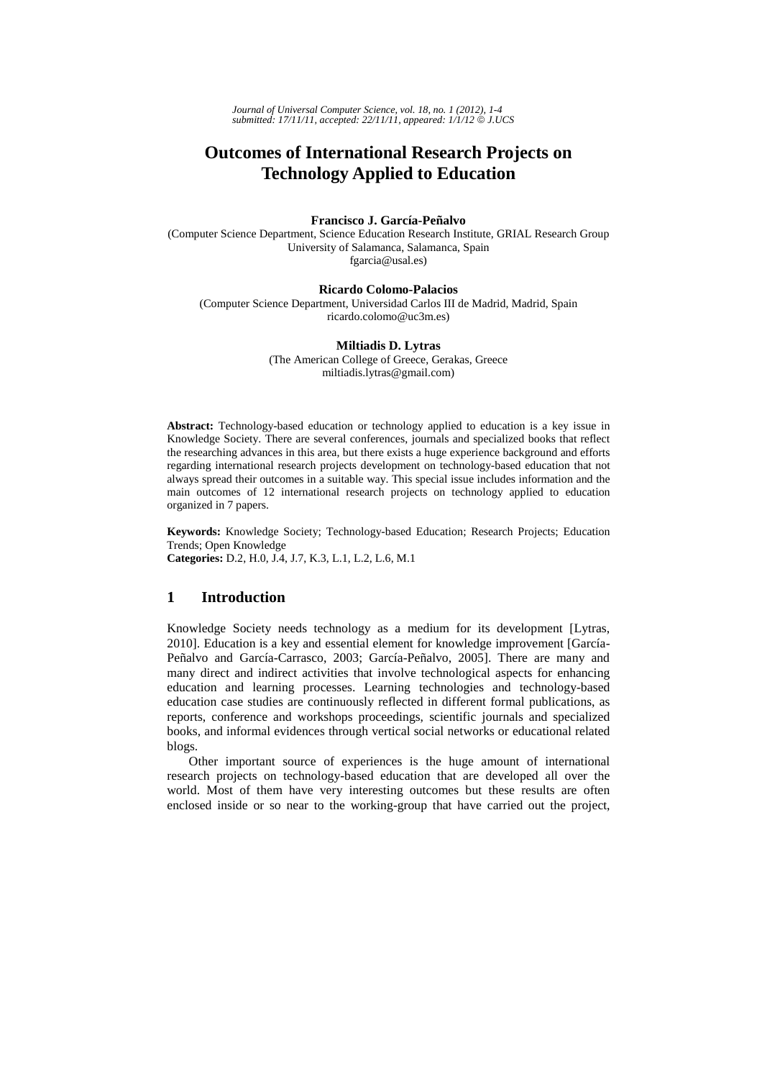*Journal of Universal Computer Science, vol. 18, no. 1 (2012), 1-4 submitted: 17/11/11, accepted: 22/11/11, appeared: 1/1/12* © *J.UCS*

# **Outcomes of International Research Projects on Technology Applied to Education**

## **Francisco J. García-Peñalvo**

(Computer Science Department, Science Education Research Institute, GRIAL Research Group University of Salamanca, Salamanca, Spain fgarcia@usal.es)

#### **Ricardo Colomo-Palacios**

(Computer Science Department, Universidad Carlos III de Madrid, Madrid, Spain ricardo.colomo@uc3m.es)

#### **Miltiadis D. Lytras**

(The American College of Greece, Gerakas, Greece miltiadis.lytras@gmail.com)

**Abstract:** Technology-based education or technology applied to education is a key issue in Knowledge Society. There are several conferences, journals and specialized books that reflect the researching advances in this area, but there exists a huge experience background and efforts regarding international research projects development on technology-based education that not always spread their outcomes in a suitable way. This special issue includes information and the main outcomes of 12 international research projects on technology applied to education organized in 7 papers.

**Keywords:** Knowledge Society; Technology-based Education; Research Projects; Education Trends; Open Knowledge **Categories:** D.2, H.0, J.4, J.7, K.3, L.1, L.2, L.6, M.1

#### **1 Introduction**

Knowledge Society needs technology as a medium for its development [Lytras, 2010]. Education is a key and essential element for knowledge improvement [García-Peñalvo and García-Carrasco, 2003; García-Peñalvo, 2005]. There are many and many direct and indirect activities that involve technological aspects for enhancing education and learning processes. Learning technologies and technology-based education case studies are continuously reflected in different formal publications, as reports, conference and workshops proceedings, scientific journals and specialized books, and informal evidences through vertical social networks or educational related blogs.

Other important source of experiences is the huge amount of international research projects on technology-based education that are developed all over the world. Most of them have very interesting outcomes but these results are often enclosed inside or so near to the working-group that have carried out the project,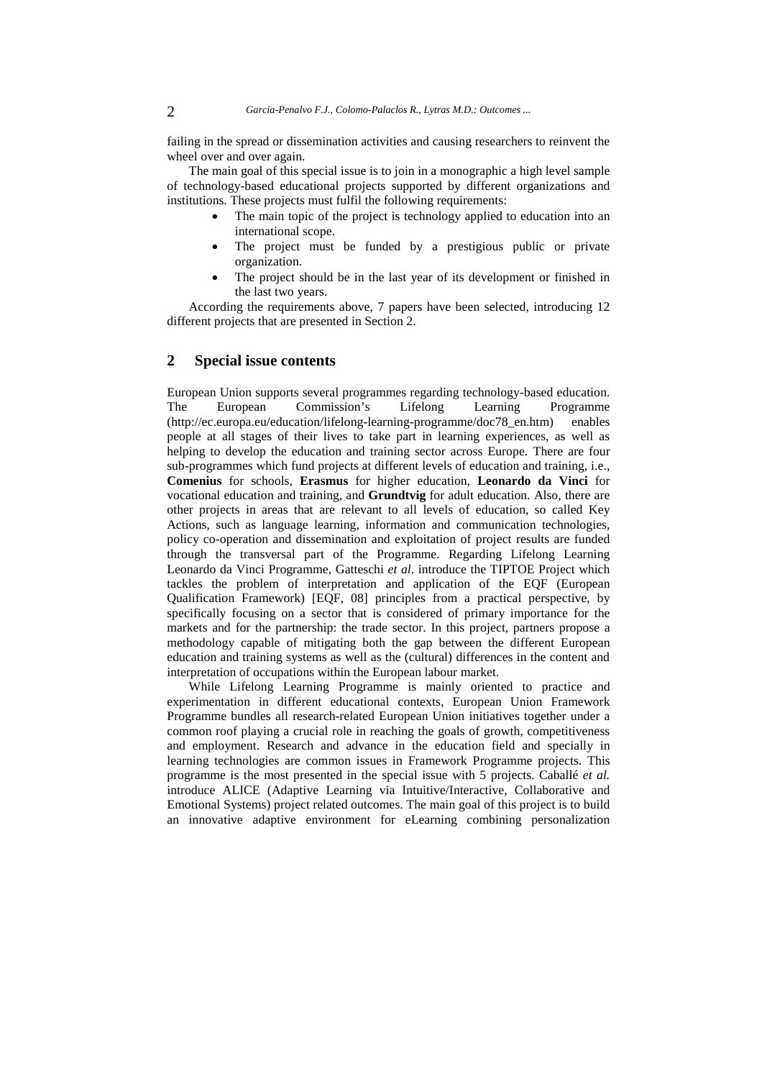failing in the spread or dissemination activities and causing researchers to reinvent the wheel over and over again.

The main goal of this special issue is to join in a monographic a high level sample of technology-based educational projects supported by different organizations and institutions. These projects must fulfil the following requirements:

- The main topic of the project is technology applied to education into an international scope.
- The project must be funded by a prestigious public or private organization.
- The project should be in the last year of its development or finished in the last two years.

According the requirements above, 7 papers have been selected, introducing 12 different projects that are presented in Section 2.

## **2 Special issue contents**

European Union supports several programmes regarding technology-based education. The European Commission's Lifelong Learning Programme (http://ec.europa.eu/education/lifelong-learning-programme/doc78\_en.htm) enables people at all stages of their lives to take part in learning experiences, as well as helping to develop the education and training sector across Europe. There are four sub-programmes which fund projects at different levels of education and training, i.e., **Comenius** for schools, **Erasmus** for higher education, **Leonardo da Vinci** for vocational education and training, and **Grundtvig** for adult education. Also, there are other projects in areas that are relevant to all levels of education, so called Key Actions, such as language learning, information and communication technologies, policy co-operation and dissemination and exploitation of project results are funded through the transversal part of the Programme. Regarding Lifelong Learning Leonardo da Vinci Programme, Gatteschi *et al*. introduce the TIPTOE Project which tackles the problem of interpretation and application of the EQF (European Qualification Framework) [EQF, 08] principles from a practical perspective, by specifically focusing on a sector that is considered of primary importance for the markets and for the partnership: the trade sector. In this project, partners propose a methodology capable of mitigating both the gap between the different European education and training systems as well as the (cultural) differences in the content and interpretation of occupations within the European labour market.

While Lifelong Learning Programme is mainly oriented to practice and experimentation in different educational contexts, European Union Framework Programme bundles all research-related European Union initiatives together under a common roof playing a crucial role in reaching the goals of growth, competitiveness and employment. Research and advance in the education field and specially in learning technologies are common issues in Framework Programme projects. This programme is the most presented in the special issue with 5 projects. Caballé *et al.* introduce ALICE (Adaptive Learning via Intuitive/Interactive, Collaborative and Emotional Systems) project related outcomes. The main goal of this project is to build an innovative adaptive environment for eLearning combining personalization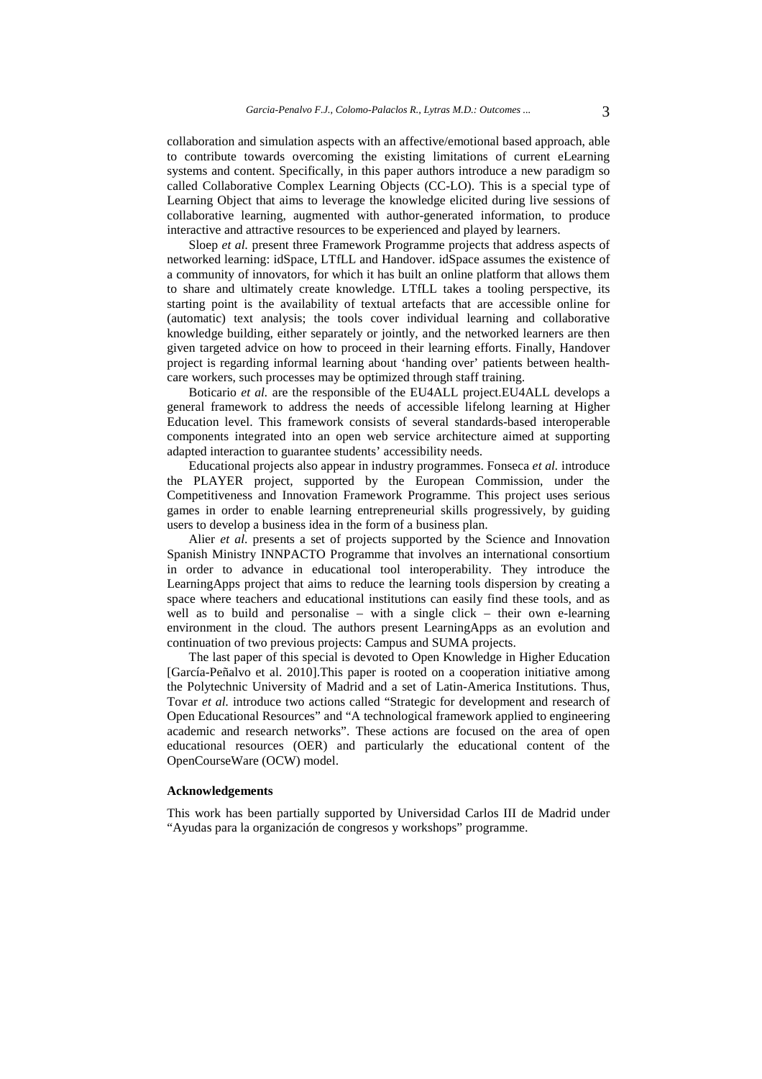collaboration and simulation aspects with an affective/emotional based approach, able to contribute towards overcoming the existing limitations of current eLearning systems and content. Specifically, in this paper authors introduce a new paradigm so called Collaborative Complex Learning Objects (CC-LO). This is a special type of Learning Object that aims to leverage the knowledge elicited during live sessions of collaborative learning, augmented with author-generated information, to produce interactive and attractive resources to be experienced and played by learners.

Sloep *et al.* present three Framework Programme projects that address aspects of networked learning: idSpace, LTfLL and Handover. idSpace assumes the existence of a community of innovators, for which it has built an online platform that allows them to share and ultimately create knowledge. LTfLL takes a tooling perspective, its starting point is the availability of textual artefacts that are accessible online for (automatic) text analysis; the tools cover individual learning and collaborative knowledge building, either separately or jointly, and the networked learners are then given targeted advice on how to proceed in their learning efforts. Finally, Handover project is regarding informal learning about 'handing over' patients between healthcare workers, such processes may be optimized through staff training.

Boticario *et al.* are the responsible of the EU4ALL project.EU4ALL develops a general framework to address the needs of accessible lifelong learning at Higher Education level. This framework consists of several standards-based interoperable components integrated into an open web service architecture aimed at supporting adapted interaction to guarantee students' accessibility needs.

Educational projects also appear in industry programmes. Fonseca *et al.* introduce the PLAYER project, supported by the European Commission, under the Competitiveness and Innovation Framework Programme. This project uses serious games in order to enable learning entrepreneurial skills progressively, by guiding users to develop a business idea in the form of a business plan.

Alier *et al*. presents a set of projects supported by the Science and Innovation Spanish Ministry INNPACTO Programme that involves an international consortium in order to advance in educational tool interoperability. They introduce the LearningApps project that aims to reduce the learning tools dispersion by creating a space where teachers and educational institutions can easily find these tools, and as well as to build and personalise – with a single click – their own e-learning environment in the cloud. The authors present LearningApps as an evolution and continuation of two previous projects: Campus and SUMA projects.

The last paper of this special is devoted to Open Knowledge in Higher Education [García-Peñalvo et al. 2010].This paper is rooted on a cooperation initiative among the Polytechnic University of Madrid and a set of Latin-America Institutions. Thus, Tovar *et al.* introduce two actions called "Strategic for development and research of Open Educational Resources" and "A technological framework applied to engineering academic and research networks". These actions are focused on the area of open educational resources (OER) and particularly the educational content of the OpenCourseWare (OCW) model.

#### **Acknowledgements**

This work has been partially supported by Universidad Carlos III de Madrid under "Ayudas para la organización de congresos y workshops" programme.